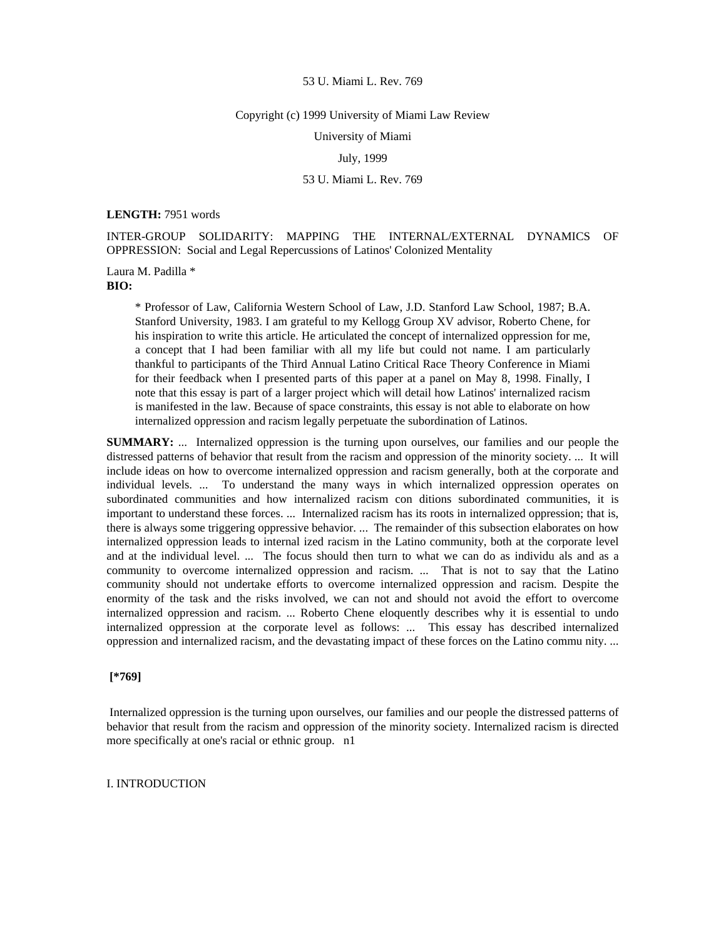#### Copyright (c) 1999 University of Miami Law Review

University of Miami

July, 1999

## 53 U. Miami L. Rev. 769

**LENGTH:** 7951 words

INTER-GROUP SOLIDARITY: MAPPING THE INTERNAL/EXTERNAL DYNAMICS OF OPPRESSION: Social and Legal Repercussions of Latinos' Colonized Mentality

Laura M. Padilla \* **BIO:** 

\* Professor of Law, California Western School of Law, J.D. Stanford Law School, 1987; B.A. Stanford University, 1983. I am grateful to my Kellogg Group XV advisor, Roberto Chene, for his inspiration to write this article. He articulated the concept of internalized oppression for me, a concept that I had been familiar with all my life but could not name. I am particularly thankful to participants of the Third Annual Latino Critical Race Theory Conference in Miami for their feedback when I presented parts of this paper at a panel on May 8, 1998. Finally, I note that this essay is part of a larger project which will detail how Latinos' internalized racism

**SUMMARY:** ... Internalized oppression is the turning upon ourselves, our families and our people the distressed patterns of behavior that result from the racism and oppression of the minority society. ... It will include ideas on how to overcome internalized oppression and racism generally, both at the corporate and individual levels. ... To understand the many ways in which internalized oppression operates on subordinated communities and how internalized racism con ditions subordinated communities, it is important to understand these forces. ... Internalized racism has its roots in internalized oppression; that is, there is always some triggering oppressive behavior. ... The remainder of this subsection elaborates on how internalized oppression leads to internal ized racism in the Latino community, both at the corporate level and at the individual level. ... The focus should then turn to what we can do as individu als and as a community to overcome internalized oppression and racism. ... That is not to say that the Latino community should not undertake efforts to overcome internalized oppression and racism. Despite the enormity of the task and the risks involved, we can not and should not avoid the effort to overcome internalized oppression and racism. ... Roberto Chene eloquently describes why it is essential to undo internalized oppression at the corporate level as follows: ... This essay has described internalized oppression and internalized racism, and the devastating impact of these forces on the Latino commu nity. ...

is manifested in the law. Because of space constraints, this essay is not able to elaborate on how

internalized oppression and racism legally perpetuate the subordination of Latinos.

 **[\*769]** 

 Internalized oppression is the turning upon ourselves, our families and our people the distressed patterns of behavior that result from the racism and oppression of the minority society. Internalized racism is directed more specifically at one's racial or ethnic group. n1

# I. INTRODUCTION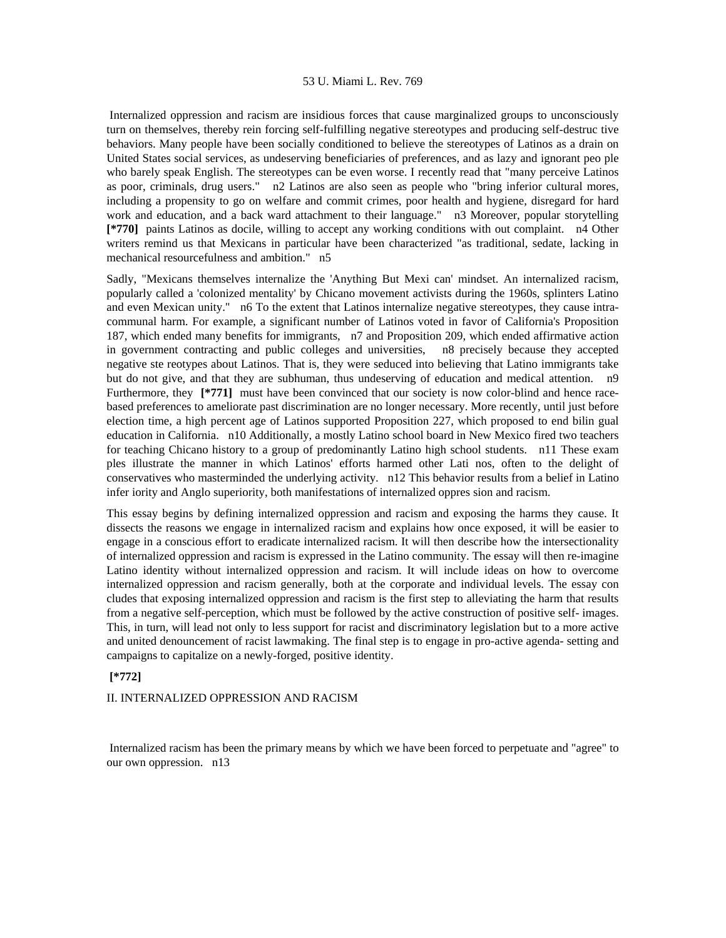Internalized oppression and racism are insidious forces that cause marginalized groups to unconsciously turn on themselves, thereby rein forcing self-fulfilling negative stereotypes and producing self-destruc tive behaviors. Many people have been socially conditioned to believe the stereotypes of Latinos as a drain on United States social services, as undeserving beneficiaries of preferences, and as lazy and ignorant peo ple who barely speak English. The stereotypes can be even worse. I recently read that "many perceive Latinos as poor, criminals, drug users." n2 Latinos are also seen as people who "bring inferior cultural mores, including a propensity to go on welfare and commit crimes, poor health and hygiene, disregard for hard work and education, and a back ward attachment to their language." n3 Moreover, popular storytelling **[\*770]** paints Latinos as docile, willing to accept any working conditions with out complaint. n4 Other writers remind us that Mexicans in particular have been characterized "as traditional, sedate, lacking in mechanical resourcefulness and ambition." n5

Sadly, "Mexicans themselves internalize the 'Anything But Mexi can' mindset. An internalized racism, popularly called a 'colonized mentality' by Chicano movement activists during the 1960s, splinters Latino and even Mexican unity." n6 To the extent that Latinos internalize negative stereotypes, they cause intracommunal harm. For example, a significant number of Latinos voted in favor of California's Proposition 187, which ended many benefits for immigrants, n7 and Proposition 209, which ended affirmative action in government contracting and public colleges and universities, n8 precisely because they accepted negative ste reotypes about Latinos. That is, they were seduced into believing that Latino immigrants take but do not give, and that they are subhuman, thus undeserving of education and medical attention. n9 Furthermore, they **[\*771]** must have been convinced that our society is now color-blind and hence racebased preferences to ameliorate past discrimination are no longer necessary. More recently, until just before election time, a high percent age of Latinos supported Proposition 227, which proposed to end bilin gual education in California. n10 Additionally, a mostly Latino school board in New Mexico fired two teachers for teaching Chicano history to a group of predominantly Latino high school students. n11 These exam ples illustrate the manner in which Latinos' efforts harmed other Lati nos, often to the delight of conservatives who masterminded the underlying activity. n12 This behavior results from a belief in Latino infer iority and Anglo superiority, both manifestations of internalized oppres sion and racism.

This essay begins by defining internalized oppression and racism and exposing the harms they cause. It dissects the reasons we engage in internalized racism and explains how once exposed, it will be easier to engage in a conscious effort to eradicate internalized racism. It will then describe how the intersectionality of internalized oppression and racism is expressed in the Latino community. The essay will then re-imagine Latino identity without internalized oppression and racism. It will include ideas on how to overcome internalized oppression and racism generally, both at the corporate and individual levels. The essay con cludes that exposing internalized oppression and racism is the first step to alleviating the harm that results from a negative self-perception, which must be followed by the active construction of positive self- images. This, in turn, will lead not only to less support for racist and discriminatory legislation but to a more active and united denouncement of racist lawmaking. The final step is to engage in pro-active agenda- setting and campaigns to capitalize on a newly-forged, positive identity.

# **[\*772]**

# II. INTERNALIZED OPPRESSION AND RACISM

 Internalized racism has been the primary means by which we have been forced to perpetuate and "agree" to our own oppression. n13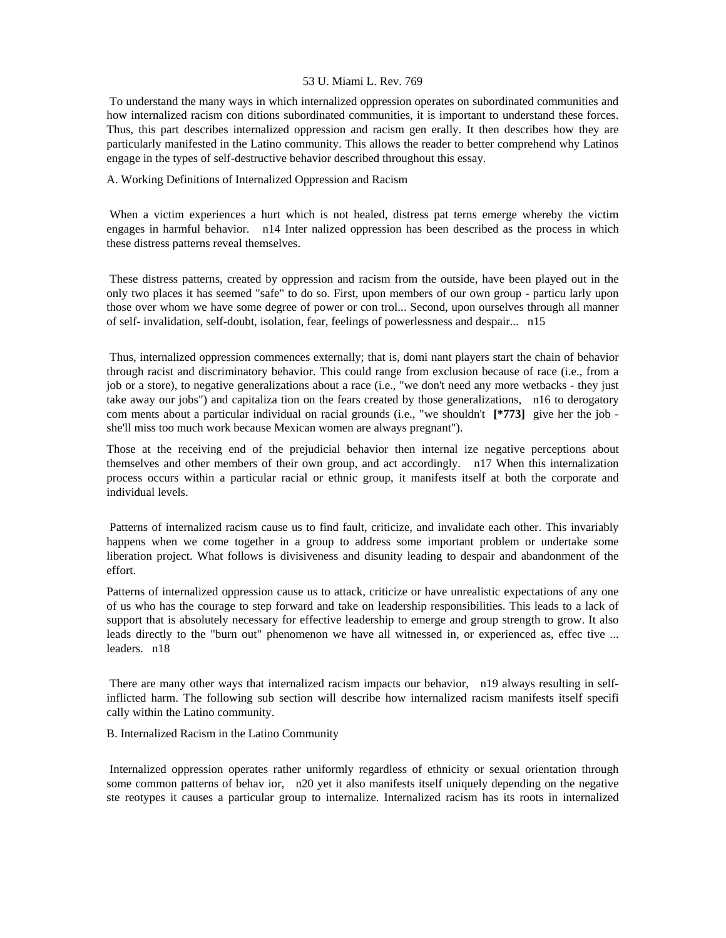To understand the many ways in which internalized oppression operates on subordinated communities and how internalized racism con ditions subordinated communities, it is important to understand these forces. Thus, this part describes internalized oppression and racism gen erally. It then describes how they are particularly manifested in the Latino community. This allows the reader to better comprehend why Latinos engage in the types of self-destructive behavior described throughout this essay.

## A. Working Definitions of Internalized Oppression and Racism

 When a victim experiences a hurt which is not healed, distress pat terns emerge whereby the victim engages in harmful behavior. n14 Inter nalized oppression has been described as the process in which these distress patterns reveal themselves.

 These distress patterns, created by oppression and racism from the outside, have been played out in the only two places it has seemed "safe" to do so. First, upon members of our own group - particu larly upon those over whom we have some degree of power or con trol... Second, upon ourselves through all manner of self- invalidation, self-doubt, isolation, fear, feelings of powerlessness and despair... n15

 Thus, internalized oppression commences externally; that is, domi nant players start the chain of behavior through racist and discriminatory behavior. This could range from exclusion because of race (i.e., from a job or a store), to negative generalizations about a race (i.e., "we don't need any more wetbacks - they just take away our jobs") and capitaliza tion on the fears created by those generalizations, n16 to derogatory com ments about a particular individual on racial grounds (i.e., "we shouldn't **[\*773]** give her the job she'll miss too much work because Mexican women are always pregnant").

Those at the receiving end of the prejudicial behavior then internal ize negative perceptions about themselves and other members of their own group, and act accordingly. n17 When this internalization process occurs within a particular racial or ethnic group, it manifests itself at both the corporate and individual levels.

 Patterns of internalized racism cause us to find fault, criticize, and invalidate each other. This invariably happens when we come together in a group to address some important problem or undertake some liberation project. What follows is divisiveness and disunity leading to despair and abandonment of the effort.

Patterns of internalized oppression cause us to attack, criticize or have unrealistic expectations of any one of us who has the courage to step forward and take on leadership responsibilities. This leads to a lack of support that is absolutely necessary for effective leadership to emerge and group strength to grow. It also leads directly to the "burn out" phenomenon we have all witnessed in, or experienced as, effec tive ... leaders. n18

 There are many other ways that internalized racism impacts our behavior, n19 always resulting in selfinflicted harm. The following sub section will describe how internalized racism manifests itself specifi cally within the Latino community.

# B. Internalized Racism in the Latino Community

 Internalized oppression operates rather uniformly regardless of ethnicity or sexual orientation through some common patterns of behav ior, n20 yet it also manifests itself uniquely depending on the negative ste reotypes it causes a particular group to internalize. Internalized racism has its roots in internalized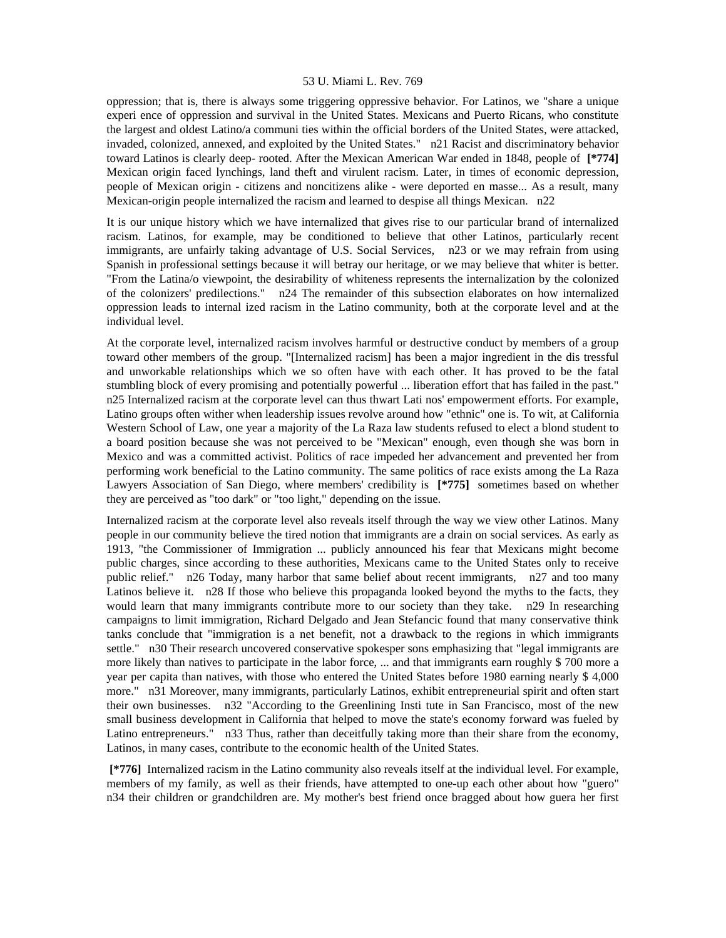oppression; that is, there is always some triggering oppressive behavior. For Latinos, we "share a unique experi ence of oppression and survival in the United States. Mexicans and Puerto Ricans, who constitute the largest and oldest Latino/a communi ties within the official borders of the United States, were attacked, invaded, colonized, annexed, and exploited by the United States." n21 Racist and discriminatory behavior toward Latinos is clearly deep- rooted. After the Mexican American War ended in 1848, people of **[\*774]**  Mexican origin faced lynchings, land theft and virulent racism. Later, in times of economic depression, people of Mexican origin - citizens and noncitizens alike - were deported en masse... As a result, many Mexican-origin people internalized the racism and learned to despise all things Mexican. n22

It is our unique history which we have internalized that gives rise to our particular brand of internalized racism. Latinos, for example, may be conditioned to believe that other Latinos, particularly recent immigrants, are unfairly taking advantage of U.S. Social Services, n23 or we may refrain from using Spanish in professional settings because it will betray our heritage, or we may believe that whiter is better. "From the Latina/o viewpoint, the desirability of whiteness represents the internalization by the colonized of the colonizers' predilections." n24 The remainder of this subsection elaborates on how internalized oppression leads to internal ized racism in the Latino community, both at the corporate level and at the individual level.

At the corporate level, internalized racism involves harmful or destructive conduct by members of a group toward other members of the group. "[Internalized racism] has been a major ingredient in the dis tressful and unworkable relationships which we so often have with each other. It has proved to be the fatal stumbling block of every promising and potentially powerful ... liberation effort that has failed in the past." n25 Internalized racism at the corporate level can thus thwart Lati nos' empowerment efforts. For example, Latino groups often wither when leadership issues revolve around how "ethnic" one is. To wit, at California Western School of Law, one year a majority of the La Raza law students refused to elect a blond student to a board position because she was not perceived to be "Mexican" enough, even though she was born in Mexico and was a committed activist. Politics of race impeded her advancement and prevented her from performing work beneficial to the Latino community. The same politics of race exists among the La Raza Lawyers Association of San Diego, where members' credibility is **[\*775]** sometimes based on whether they are perceived as "too dark" or "too light," depending on the issue.

Internalized racism at the corporate level also reveals itself through the way we view other Latinos. Many people in our community believe the tired notion that immigrants are a drain on social services. As early as 1913, "the Commissioner of Immigration ... publicly announced his fear that Mexicans might become public charges, since according to these authorities, Mexicans came to the United States only to receive public relief." n26 Today, many harbor that same belief about recent immigrants, n27 and too many Latinos believe it. n28 If those who believe this propaganda looked beyond the myths to the facts, they would learn that many immigrants contribute more to our society than they take. n29 In researching campaigns to limit immigration, Richard Delgado and Jean Stefancic found that many conservative think tanks conclude that "immigration is a net benefit, not a drawback to the regions in which immigrants settle." n30 Their research uncovered conservative spokesper sons emphasizing that "legal immigrants are more likely than natives to participate in the labor force, ... and that immigrants earn roughly \$ 700 more a year per capita than natives, with those who entered the United States before 1980 earning nearly \$ 4,000 more." n31 Moreover, many immigrants, particularly Latinos, exhibit entrepreneurial spirit and often start their own businesses. n32 "According to the Greenlining Insti tute in San Francisco, most of the new small business development in California that helped to move the state's economy forward was fueled by Latino entrepreneurs." n33 Thus, rather than deceitfully taking more than their share from the economy, Latinos, in many cases, contribute to the economic health of the United States.

 **[\*776]** Internalized racism in the Latino community also reveals itself at the individual level. For example, members of my family, as well as their friends, have attempted to one-up each other about how "guero" n34 their children or grandchildren are. My mother's best friend once bragged about how guera her first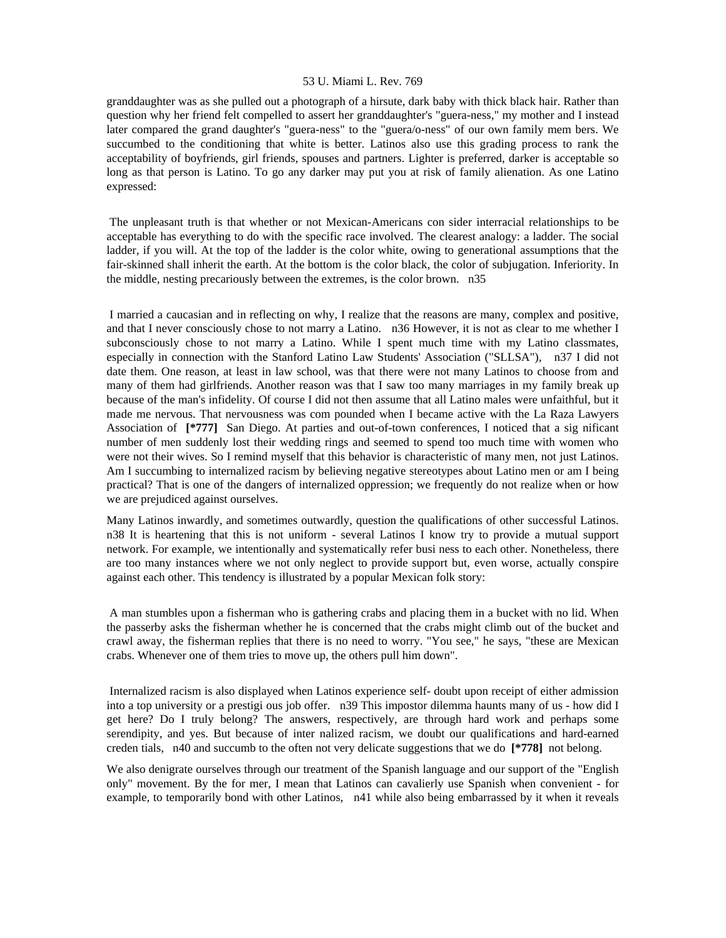granddaughter was as she pulled out a photograph of a hirsute, dark baby with thick black hair. Rather than question why her friend felt compelled to assert her granddaughter's "guera-ness," my mother and I instead later compared the grand daughter's "guera-ness" to the "guera/o-ness" of our own family mem bers. We succumbed to the conditioning that white is better. Latinos also use this grading process to rank the acceptability of boyfriends, girl friends, spouses and partners. Lighter is preferred, darker is acceptable so long as that person is Latino. To go any darker may put you at risk of family alienation. As one Latino expressed:

 The unpleasant truth is that whether or not Mexican-Americans con sider interracial relationships to be acceptable has everything to do with the specific race involved. The clearest analogy: a ladder. The social ladder, if you will. At the top of the ladder is the color white, owing to generational assumptions that the fair-skinned shall inherit the earth. At the bottom is the color black, the color of subjugation. Inferiority. In the middle, nesting precariously between the extremes, is the color brown. n35

 I married a caucasian and in reflecting on why, I realize that the reasons are many, complex and positive, and that I never consciously chose to not marry a Latino. n36 However, it is not as clear to me whether I subconsciously chose to not marry a Latino. While I spent much time with my Latino classmates, especially in connection with the Stanford Latino Law Students' Association ("SLLSA"), n37 I did not date them. One reason, at least in law school, was that there were not many Latinos to choose from and many of them had girlfriends. Another reason was that I saw too many marriages in my family break up because of the man's infidelity. Of course I did not then assume that all Latino males were unfaithful, but it made me nervous. That nervousness was com pounded when I became active with the La Raza Lawyers Association of **[\*777]** San Diego. At parties and out-of-town conferences, I noticed that a sig nificant number of men suddenly lost their wedding rings and seemed to spend too much time with women who were not their wives. So I remind myself that this behavior is characteristic of many men, not just Latinos. Am I succumbing to internalized racism by believing negative stereotypes about Latino men or am I being practical? That is one of the dangers of internalized oppression; we frequently do not realize when or how we are prejudiced against ourselves.

Many Latinos inwardly, and sometimes outwardly, question the qualifications of other successful Latinos. n38 It is heartening that this is not uniform - several Latinos I know try to provide a mutual support network. For example, we intentionally and systematically refer busi ness to each other. Nonetheless, there are too many instances where we not only neglect to provide support but, even worse, actually conspire against each other. This tendency is illustrated by a popular Mexican folk story:

 A man stumbles upon a fisherman who is gathering crabs and placing them in a bucket with no lid. When the passerby asks the fisherman whether he is concerned that the crabs might climb out of the bucket and crawl away, the fisherman replies that there is no need to worry. "You see," he says, "these are Mexican crabs. Whenever one of them tries to move up, the others pull him down".

 Internalized racism is also displayed when Latinos experience self- doubt upon receipt of either admission into a top university or a prestigi ous job offer. n39 This impostor dilemma haunts many of us - how did I get here? Do I truly belong? The answers, respectively, are through hard work and perhaps some serendipity, and yes. But because of inter nalized racism, we doubt our qualifications and hard-earned creden tials, n40 and succumb to the often not very delicate suggestions that we do **[\*778]** not belong.

We also denigrate ourselves through our treatment of the Spanish language and our support of the "English only" movement. By the for mer, I mean that Latinos can cavalierly use Spanish when convenient - for example, to temporarily bond with other Latinos, n41 while also being embarrassed by it when it reveals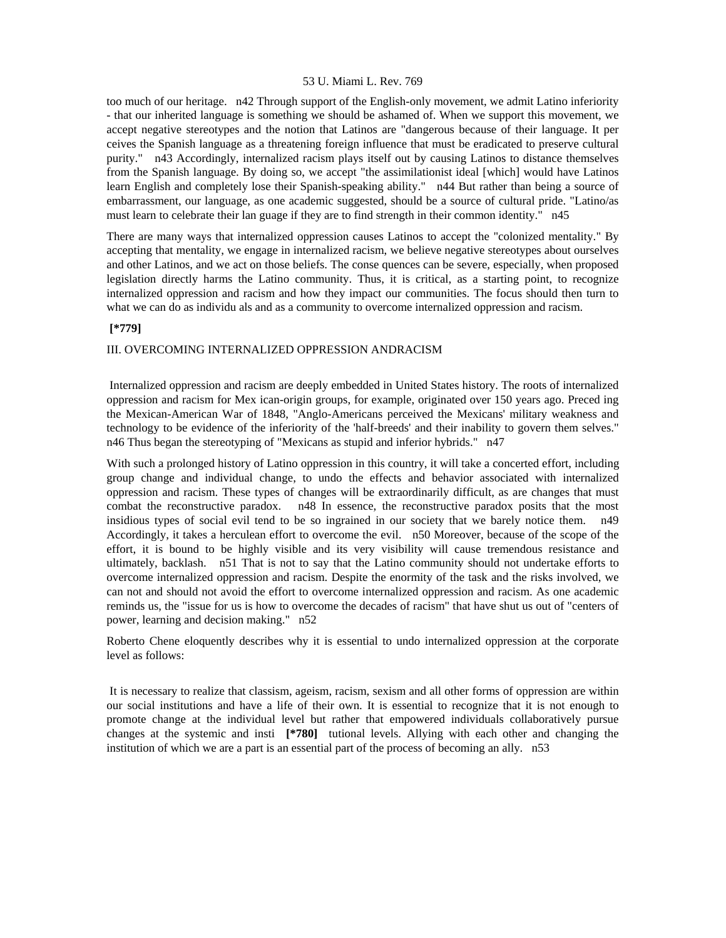too much of our heritage. n42 Through support of the English-only movement, we admit Latino inferiority - that our inherited language is something we should be ashamed of. When we support this movement, we accept negative stereotypes and the notion that Latinos are "dangerous because of their language. It per ceives the Spanish language as a threatening foreign influence that must be eradicated to preserve cultural purity." n43 Accordingly, internalized racism plays itself out by causing Latinos to distance themselves from the Spanish language. By doing so, we accept "the assimilationist ideal [which] would have Latinos learn English and completely lose their Spanish-speaking ability." n44 But rather than being a source of embarrassment, our language, as one academic suggested, should be a source of cultural pride. "Latino/as must learn to celebrate their lan guage if they are to find strength in their common identity." n45

There are many ways that internalized oppression causes Latinos to accept the "colonized mentality." By accepting that mentality, we engage in internalized racism, we believe negative stereotypes about ourselves and other Latinos, and we act on those beliefs. The conse quences can be severe, especially, when proposed legislation directly harms the Latino community. Thus, it is critical, as a starting point, to recognize internalized oppression and racism and how they impact our communities. The focus should then turn to what we can do as individu als and as a community to overcome internalized oppression and racism.

## **[\*779]**

## III. OVERCOMING INTERNALIZED OPPRESSION ANDRACISM

 Internalized oppression and racism are deeply embedded in United States history. The roots of internalized oppression and racism for Mex ican-origin groups, for example, originated over 150 years ago. Preced ing the Mexican-American War of 1848, "Anglo-Americans perceived the Mexicans' military weakness and technology to be evidence of the inferiority of the 'half-breeds' and their inability to govern them selves." n46 Thus began the stereotyping of "Mexicans as stupid and inferior hybrids." n47

With such a prolonged history of Latino oppression in this country, it will take a concerted effort, including group change and individual change, to undo the effects and behavior associated with internalized oppression and racism. These types of changes will be extraordinarily difficult, as are changes that must combat the reconstructive paradox. n48 In essence, the reconstructive paradox posits that the most insidious types of social evil tend to be so ingrained in our society that we barely notice them. n49 Accordingly, it takes a herculean effort to overcome the evil. n50 Moreover, because of the scope of the effort, it is bound to be highly visible and its very visibility will cause tremendous resistance and ultimately, backlash. n51 That is not to say that the Latino community should not undertake efforts to overcome internalized oppression and racism. Despite the enormity of the task and the risks involved, we can not and should not avoid the effort to overcome internalized oppression and racism. As one academic reminds us, the "issue for us is how to overcome the decades of racism" that have shut us out of "centers of power, learning and decision making." n52

Roberto Chene eloquently describes why it is essential to undo internalized oppression at the corporate level as follows:

 It is necessary to realize that classism, ageism, racism, sexism and all other forms of oppression are within our social institutions and have a life of their own. It is essential to recognize that it is not enough to promote change at the individual level but rather that empowered individuals collaboratively pursue changes at the systemic and insti **[\*780]** tutional levels. Allying with each other and changing the institution of which we are a part is an essential part of the process of becoming an ally. n53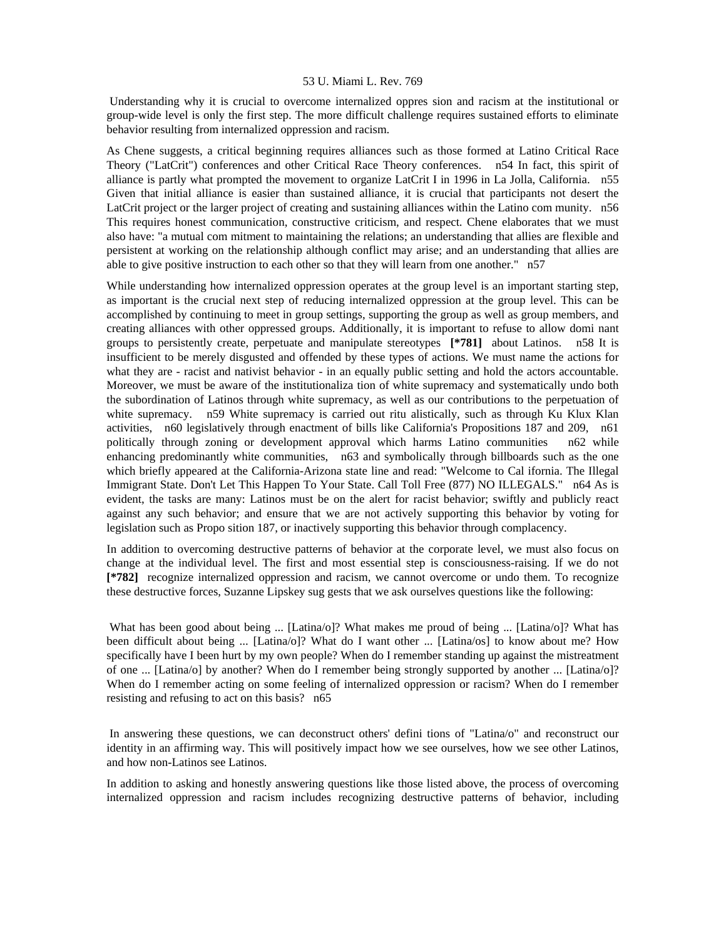Understanding why it is crucial to overcome internalized oppres sion and racism at the institutional or group-wide level is only the first step. The more difficult challenge requires sustained efforts to eliminate behavior resulting from internalized oppression and racism.

As Chene suggests, a critical beginning requires alliances such as those formed at Latino Critical Race Theory ("LatCrit") conferences and other Critical Race Theory conferences. n54 In fact, this spirit of alliance is partly what prompted the movement to organize LatCrit I in 1996 in La Jolla, California. n55 Given that initial alliance is easier than sustained alliance, it is crucial that participants not desert the LatCrit project or the larger project of creating and sustaining alliances within the Latino com munity. n56 This requires honest communication, constructive criticism, and respect. Chene elaborates that we must also have: "a mutual com mitment to maintaining the relations; an understanding that allies are flexible and persistent at working on the relationship although conflict may arise; and an understanding that allies are able to give positive instruction to each other so that they will learn from one another." n57

While understanding how internalized oppression operates at the group level is an important starting step, as important is the crucial next step of reducing internalized oppression at the group level. This can be accomplished by continuing to meet in group settings, supporting the group as well as group members, and creating alliances with other oppressed groups. Additionally, it is important to refuse to allow domi nant groups to persistently create, perpetuate and manipulate stereotypes **[\*781]** about Latinos. n58 It is insufficient to be merely disgusted and offended by these types of actions. We must name the actions for what they are - racist and nativist behavior - in an equally public setting and hold the actors accountable. Moreover, we must be aware of the institutionaliza tion of white supremacy and systematically undo both the subordination of Latinos through white supremacy, as well as our contributions to the perpetuation of white supremacy. n59 White supremacy is carried out ritu alistically, such as through Ku Klux Klan activities, n60 legislatively through enactment of bills like California's Propositions 187 and 209, n61 politically through zoning or development approval which harms Latino communities n62 while enhancing predominantly white communities, n63 and symbolically through billboards such as the one which briefly appeared at the California-Arizona state line and read: "Welcome to Cal ifornia. The Illegal Immigrant State. Don't Let This Happen To Your State. Call Toll Free (877) NO ILLEGALS." n64 As is evident, the tasks are many: Latinos must be on the alert for racist behavior; swiftly and publicly react against any such behavior; and ensure that we are not actively supporting this behavior by voting for legislation such as Propo sition 187, or inactively supporting this behavior through complacency.

In addition to overcoming destructive patterns of behavior at the corporate level, we must also focus on change at the individual level. The first and most essential step is consciousness-raising. If we do not **[\*782]** recognize internalized oppression and racism, we cannot overcome or undo them. To recognize these destructive forces, Suzanne Lipskey sug gests that we ask ourselves questions like the following:

What has been good about being ... [Latina/o]? What makes me proud of being ... [Latina/o]? What has been difficult about being ... [Latina/o]? What do I want other ... [Latina/os] to know about me? How specifically have I been hurt by my own people? When do I remember standing up against the mistreatment of one ... [Latina/o] by another? When do I remember being strongly supported by another ... [Latina/o]? When do I remember acting on some feeling of internalized oppression or racism? When do I remember resisting and refusing to act on this basis? n65

 In answering these questions, we can deconstruct others' defini tions of "Latina/o" and reconstruct our identity in an affirming way. This will positively impact how we see ourselves, how we see other Latinos, and how non-Latinos see Latinos.

In addition to asking and honestly answering questions like those listed above, the process of overcoming internalized oppression and racism includes recognizing destructive patterns of behavior, including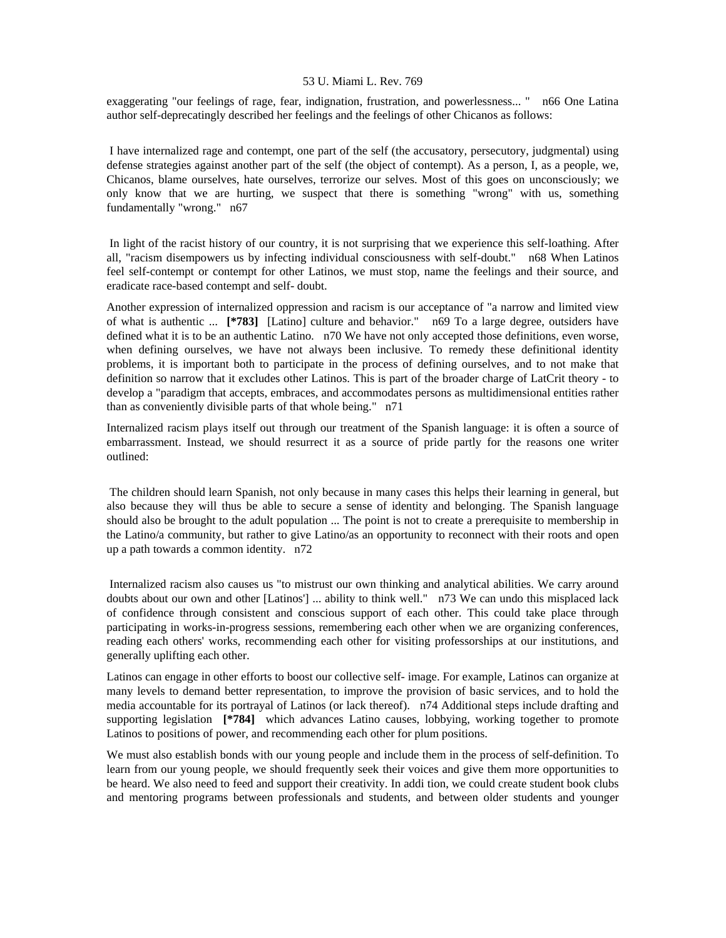exaggerating "our feelings of rage, fear, indignation, frustration, and powerlessness... " n66 One Latina author self-deprecatingly described her feelings and the feelings of other Chicanos as follows:

 I have internalized rage and contempt, one part of the self (the accusatory, persecutory, judgmental) using defense strategies against another part of the self (the object of contempt). As a person, I, as a people, we, Chicanos, blame ourselves, hate ourselves, terrorize our selves. Most of this goes on unconsciously; we only know that we are hurting, we suspect that there is something "wrong" with us, something fundamentally "wrong." n67

 In light of the racist history of our country, it is not surprising that we experience this self-loathing. After all, "racism disempowers us by infecting individual consciousness with self-doubt." n68 When Latinos feel self-contempt or contempt for other Latinos, we must stop, name the feelings and their source, and eradicate race-based contempt and self- doubt.

Another expression of internalized oppression and racism is our acceptance of "a narrow and limited view of what is authentic ... **[\*783]** [Latino] culture and behavior." n69 To a large degree, outsiders have defined what it is to be an authentic Latino. n70 We have not only accepted those definitions, even worse, when defining ourselves, we have not always been inclusive. To remedy these definitional identity problems, it is important both to participate in the process of defining ourselves, and to not make that definition so narrow that it excludes other Latinos. This is part of the broader charge of LatCrit theory - to develop a "paradigm that accepts, embraces, and accommodates persons as multidimensional entities rather than as conveniently divisible parts of that whole being." n71

Internalized racism plays itself out through our treatment of the Spanish language: it is often a source of embarrassment. Instead, we should resurrect it as a source of pride partly for the reasons one writer outlined:

 The children should learn Spanish, not only because in many cases this helps their learning in general, but also because they will thus be able to secure a sense of identity and belonging. The Spanish language should also be brought to the adult population ... The point is not to create a prerequisite to membership in the Latino/a community, but rather to give Latino/as an opportunity to reconnect with their roots and open up a path towards a common identity. n72

 Internalized racism also causes us "to mistrust our own thinking and analytical abilities. We carry around doubts about our own and other [Latinos'] ... ability to think well." n73 We can undo this misplaced lack of confidence through consistent and conscious support of each other. This could take place through participating in works-in-progress sessions, remembering each other when we are organizing conferences, reading each others' works, recommending each other for visiting professorships at our institutions, and generally uplifting each other.

Latinos can engage in other efforts to boost our collective self- image. For example, Latinos can organize at many levels to demand better representation, to improve the provision of basic services, and to hold the media accountable for its portrayal of Latinos (or lack thereof). n74 Additional steps include drafting and supporting legislation **[\*784]** which advances Latino causes, lobbying, working together to promote Latinos to positions of power, and recommending each other for plum positions.

We must also establish bonds with our young people and include them in the process of self-definition. To learn from our young people, we should frequently seek their voices and give them more opportunities to be heard. We also need to feed and support their creativity. In addi tion, we could create student book clubs and mentoring programs between professionals and students, and between older students and younger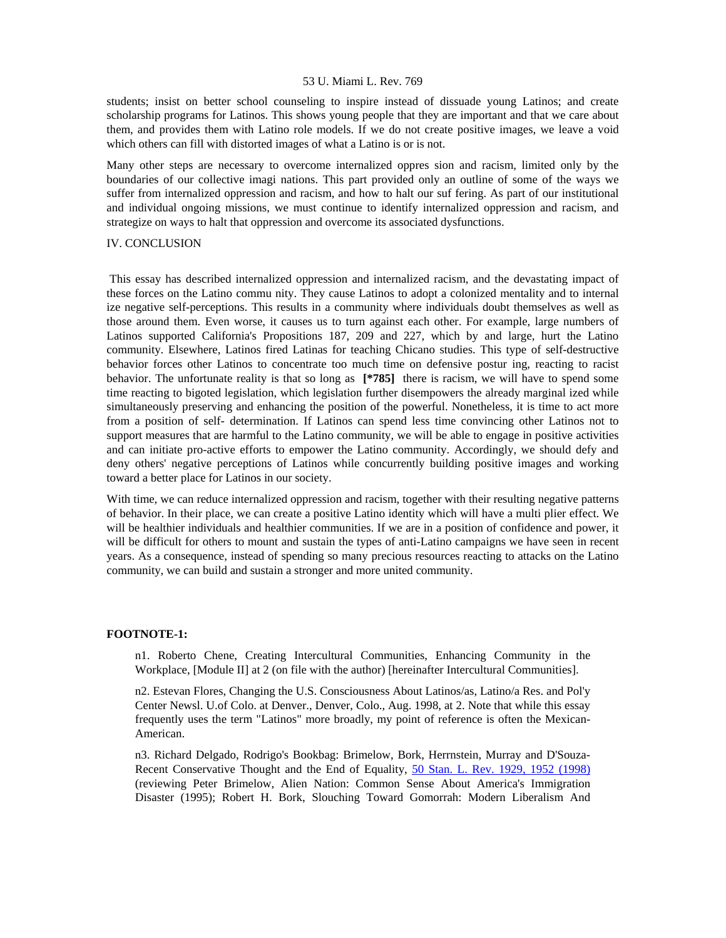students; insist on better school counseling to inspire instead of dissuade young Latinos; and create scholarship programs for Latinos. This shows young people that they are important and that we care about them, and provides them with Latino role models. If we do not create positive images, we leave a void which others can fill with distorted images of what a Latino is or is not.

Many other steps are necessary to overcome internalized oppres sion and racism, limited only by the boundaries of our collective imagi nations. This part provided only an outline of some of the ways we suffer from internalized oppression and racism, and how to halt our suf fering. As part of our institutional and individual ongoing missions, we must continue to identify internalized oppression and racism, and strategize on ways to halt that oppression and overcome its associated dysfunctions.

#### IV. CONCLUSION

 This essay has described internalized oppression and internalized racism, and the devastating impact of these forces on the Latino commu nity. They cause Latinos to adopt a colonized mentality and to internal ize negative self-perceptions. This results in a community where individuals doubt themselves as well as those around them. Even worse, it causes us to turn against each other. For example, large numbers of Latinos supported California's Propositions 187, 209 and 227, which by and large, hurt the Latino community. Elsewhere, Latinos fired Latinas for teaching Chicano studies. This type of self-destructive behavior forces other Latinos to concentrate too much time on defensive postur ing, reacting to racist behavior. The unfortunate reality is that so long as **[\*785]** there is racism, we will have to spend some time reacting to bigoted legislation, which legislation further disempowers the already marginal ized while simultaneously preserving and enhancing the position of the powerful. Nonetheless, it is time to act more from a position of self- determination. If Latinos can spend less time convincing other Latinos not to support measures that are harmful to the Latino community, we will be able to engage in positive activities and can initiate pro-active efforts to empower the Latino community. Accordingly, we should defy and deny others' negative perceptions of Latinos while concurrently building positive images and working toward a better place for Latinos in our society.

With time, we can reduce internalized oppression and racism, together with their resulting negative patterns of behavior. In their place, we can create a positive Latino identity which will have a multi plier effect. We will be healthier individuals and healthier communities. If we are in a position of confidence and power, it will be difficult for others to mount and sustain the types of anti-Latino campaigns we have seen in recent years. As a consequence, instead of spending so many precious resources reacting to attacks on the Latino community, we can build and sustain a stronger and more united community.

## **FOOTNOTE-1:**

n1. Roberto Chene, Creating Intercultural Communities, Enhancing Community in the Workplace, [Module II] at 2 (on file with the author) [hereinafter Intercultural Communities].

n2. Estevan Flores, Changing the U.S. Consciousness About Latinos/as, Latino/a Res. and Pol'y Center Newsl. U.of Colo. at Denver., Denver, Colo., Aug. 1998, at 2. Note that while this essay frequently uses the term "Latinos" more broadly, my point of reference is often the Mexican-American.

n3. Richard Delgado, Rodrigo's Bookbag: Brimelow, Bork, Herrnstein, Murray and D'Souza-Recent Conservative Thought and the End of Equality, [50 Stan. L. Rev. 1929, 1952 \(1998\)](http://www.lexis.com/research/xlink?searchtype=get&search=50%20Stan.%20L.%20Rev.%201929,at%201952) (reviewing Peter Brimelow, Alien Nation: Common Sense About America's Immigration Disaster (1995); Robert H. Bork, Slouching Toward Gomorrah: Modern Liberalism And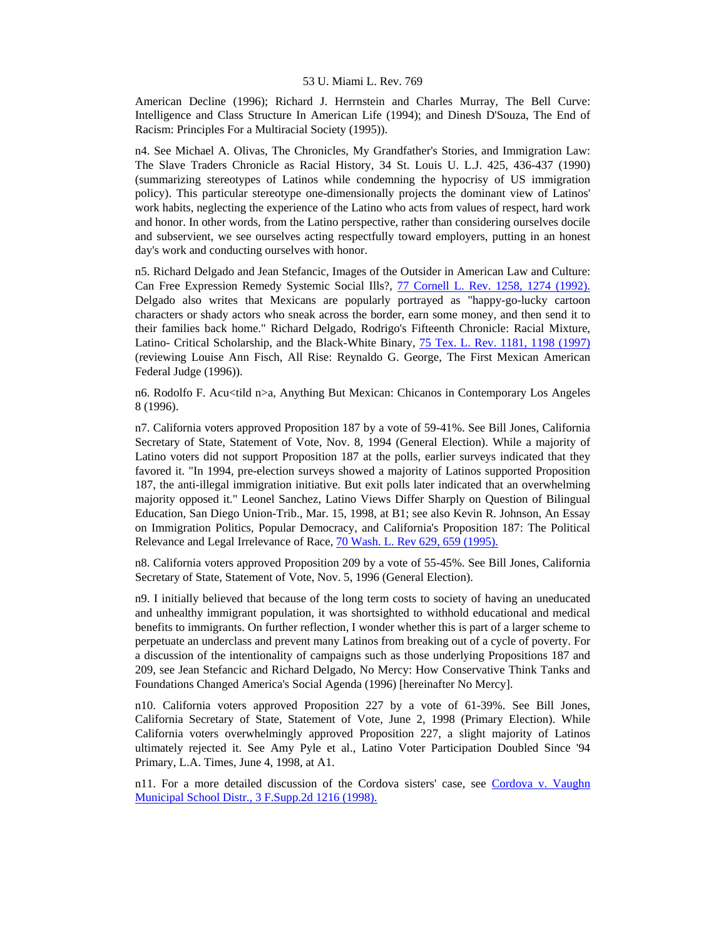American Decline (1996); Richard J. Herrnstein and Charles Murray, The Bell Curve: Intelligence and Class Structure In American Life (1994); and Dinesh D'Souza, The End of Racism: Principles For a Multiracial Society (1995)).

n4. See Michael A. Olivas, The Chronicles, My Grandfather's Stories, and Immigration Law: The Slave Traders Chronicle as Racial History, 34 St. Louis U. L.J. 425, 436-437 (1990) (summarizing stereotypes of Latinos while condemning the hypocrisy of US immigration policy). This particular stereotype one-dimensionally projects the dominant view of Latinos' work habits, neglecting the experience of the Latino who acts from values of respect, hard work and honor. In other words, from the Latino perspective, rather than considering ourselves docile and subservient, we see ourselves acting respectfully toward employers, putting in an honest day's work and conducting ourselves with honor.

n5. Richard Delgado and Jean Stefancic, Images of the Outsider in American Law and Culture: Can Free Expression Remedy Systemic Social Ills?, [77 Cornell L. Rev. 1258, 1274 \(1992\).](http://www.lexis.com/research/xlink?searchtype=get&search=77%20Cornell%20L.%20Rev.%201258,at%201274) Delgado also writes that Mexicans are popularly portrayed as "happy-go-lucky cartoon characters or shady actors who sneak across the border, earn some money, and then send it to their families back home." Richard Delgado, Rodrigo's Fifteenth Chronicle: Racial Mixture, Latino- Critical Scholarship, and the Black-White Binary, [75 Tex. L. Rev. 1181, 1198 \(1997\)](http://www.lexis.com/research/xlink?searchtype=get&search=75%20Tex.%20L.%20Rev.%201181,at%201198) (reviewing Louise Ann Fisch, All Rise: Reynaldo G. George, The First Mexican American Federal Judge (1996)).

n6. Rodolfo F. Acu<tild n>a, Anything But Mexican: Chicanos in Contemporary Los Angeles 8 (1996).

n7. California voters approved Proposition 187 by a vote of 59-41%. See Bill Jones, California Secretary of State, Statement of Vote, Nov. 8, 1994 (General Election). While a majority of Latino voters did not support Proposition 187 at the polls, earlier surveys indicated that they favored it. "In 1994, pre-election surveys showed a majority of Latinos supported Proposition 187, the anti-illegal immigration initiative. But exit polls later indicated that an overwhelming majority opposed it." Leonel Sanchez, Latino Views Differ Sharply on Question of Bilingual Education, San Diego Union-Trib., Mar. 15, 1998, at B1; see also Kevin R. Johnson, An Essay on Immigration Politics, Popular Democracy, and California's Proposition 187: The Political Relevance and Legal Irrelevance of Race, [70 Wash. L. Rev 629, 659 \(1995\).](http://www.lexis.com/research/xlink?searchtype=get&search=70%20Wash.%20L.%20Rev.%20629,at%20659)

n8. California voters approved Proposition 209 by a vote of 55-45%. See Bill Jones, California Secretary of State, Statement of Vote, Nov. 5, 1996 (General Election).

n9. I initially believed that because of the long term costs to society of having an uneducated and unhealthy immigrant population, it was shortsighted to withhold educational and medical benefits to immigrants. On further reflection, I wonder whether this is part of a larger scheme to perpetuate an underclass and prevent many Latinos from breaking out of a cycle of poverty. For a discussion of the intentionality of campaigns such as those underlying Propositions 187 and 209, see Jean Stefancic and Richard Delgado, No Mercy: How Conservative Think Tanks and Foundations Changed America's Social Agenda (1996) [hereinafter No Mercy].

n10. California voters approved Proposition 227 by a vote of 61-39%. See Bill Jones, California Secretary of State, Statement of Vote, June 2, 1998 (Primary Election). While California voters overwhelmingly approved Proposition 227, a slight majority of Latinos ultimately rejected it. See Amy Pyle et al., Latino Voter Participation Doubled Since '94 Primary, L.A. Times, June 4, 1998, at A1.

n11. For a more detailed discussion of the Cordova sisters' case, see [Cordova v. Vaughn](http://www.lexis.com/research/xlink?searchtype=get&search=3%20F.%20Supp.%202d%201216)  [Municipal School Distr., 3 F.Supp.2d 1216 \(1998\).](http://www.lexis.com/research/xlink?searchtype=get&search=3%20F.%20Supp.%202d%201216)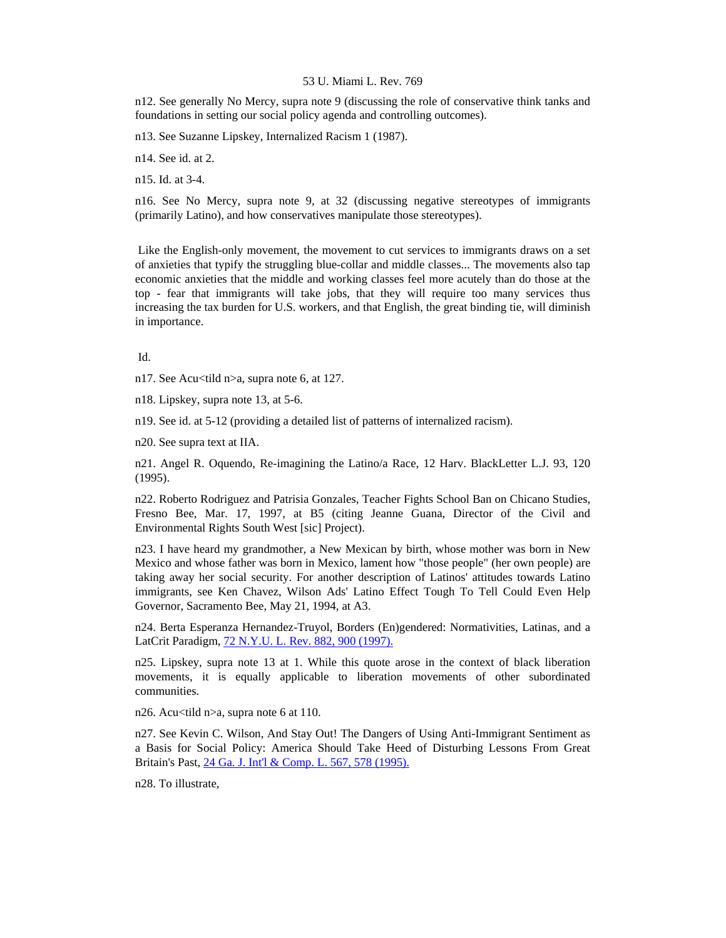n12. See generally No Mercy, supra note 9 (discussing the role of conservative think tanks and foundations in setting our social policy agenda and controlling outcomes).

n13. See Suzanne Lipskey, Internalized Racism 1 (1987).

n14. See id. at 2.

n15. Id. at 3-4.

n16. See No Mercy, supra note 9, at 32 (discussing negative stereotypes of immigrants (primarily Latino), and how conservatives manipulate those stereotypes).

 Like the English-only movement, the movement to cut services to immigrants draws on a set of anxieties that typify the struggling blue-collar and middle classes... The movements also tap economic anxieties that the middle and working classes feel more acutely than do those at the top - fear that immigrants will take jobs, that they will require too many services thus increasing the tax burden for U.S. workers, and that English, the great binding tie, will diminish in importance.

Id.

n17. See Acu<tild n>a, supra note 6, at 127.

n18. Lipskey, supra note 13, at 5-6.

n19. See id. at 5-12 (providing a detailed list of patterns of internalized racism).

n20. See supra text at IIA.

n21. Angel R. Oquendo, Re-imagining the Latino/a Race, 12 Harv. BlackLetter L.J. 93, 120 (1995).

n22. Roberto Rodriguez and Patrisia Gonzales, Teacher Fights School Ban on Chicano Studies, Fresno Bee, Mar. 17, 1997, at B5 (citing Jeanne Guana, Director of the Civil and Environmental Rights South West [sic] Project).

n23. I have heard my grandmother, a New Mexican by birth, whose mother was born in New Mexico and whose father was born in Mexico, lament how "those people" (her own people) are taking away her social security. For another description of Latinos' attitudes towards Latino immigrants, see Ken Chavez, Wilson Ads' Latino Effect Tough To Tell Could Even Help Governor, Sacramento Bee, May 21, 1994, at A3.

n24. Berta Esperanza Hernandez-Truyol, Borders (En)gendered: Normativities, Latinas, and a LatCrit Paradigm, [72 N.Y.U. L. Rev. 882, 900 \(1997\).](http://www.lexis.com/research/xlink?searchtype=get&search=72%20N.Y.U.L.%20Rev.%20882,at%20900)

n25. Lipskey, supra note 13 at 1. While this quote arose in the context of black liberation movements, it is equally applicable to liberation movements of other subordinated communities.

n26. Acu<tild n>a, supra note 6 at 110.

n27. See Kevin C. Wilson, And Stay Out! The Dangers of Using Anti-Immigrant Sentiment as a Basis for Social Policy: America Should Take Heed of Disturbing Lessons From Great Britain's Past, [24 Ga. J. Int'l & Comp. L. 567, 578 \(1995\).](http://www.lexis.com/research/xlink?searchtype=get&search=24%20Ga.%20J.%20Int)

n28. To illustrate,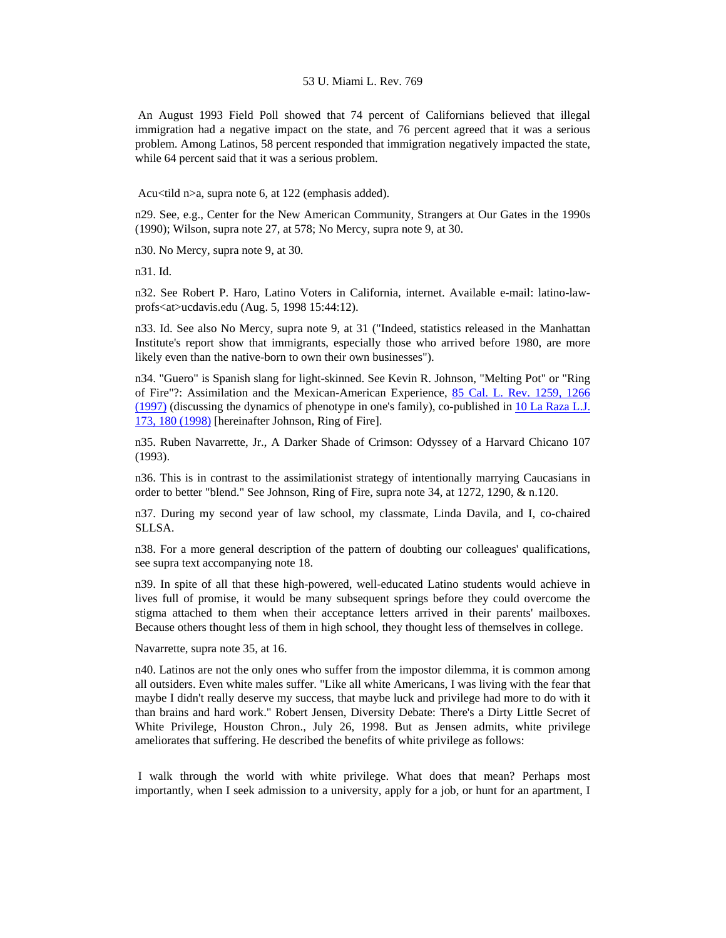An August 1993 Field Poll showed that 74 percent of Californians believed that illegal immigration had a negative impact on the state, and 76 percent agreed that it was a serious problem. Among Latinos, 58 percent responded that immigration negatively impacted the state, while 64 percent said that it was a serious problem.

Acu<tild n>a, supra note 6, at 122 (emphasis added).

n29. See, e.g., Center for the New American Community, Strangers at Our Gates in the 1990s (1990); Wilson, supra note 27, at 578; No Mercy, supra note 9, at 30.

n30. No Mercy, supra note 9, at 30.

n31. Id.

n32. See Robert P. Haro, Latino Voters in California, internet. Available e-mail: latino-lawprofs<at>ucdavis.edu (Aug. 5, 1998 15:44:12).

n33. Id. See also No Mercy, supra note 9, at 31 ("Indeed, statistics released in the Manhattan Institute's report show that immigrants, especially those who arrived before 1980, are more likely even than the native-born to own their own businesses").

n34. "Guero" is Spanish slang for light-skinned. See Kevin R. Johnson, "Melting Pot" or "Ring of Fire"?: Assimilation and the Mexican-American Experience, [85 Cal. L. Rev. 1259, 1266](http://www.lexis.com/research/xlink?searchtype=get&search=85%20Calif.%20L.%20Rev.%201259,at%201266)  [\(1997\)](http://www.lexis.com/research/xlink?searchtype=get&search=85%20Calif.%20L.%20Rev.%201259,at%201266) (discussing the dynamics of phenotype in one's family), co-published in [10 La Raza L.J.](http://www.lexis.com/research/xlink?searchtype=get&search=10%20La%20Raza%20L.J.%20173,at%20180)  [173, 180 \(1998\)](http://www.lexis.com/research/xlink?searchtype=get&search=10%20La%20Raza%20L.J.%20173,at%20180) [hereinafter Johnson, Ring of Fire].

n35. Ruben Navarrette, Jr., A Darker Shade of Crimson: Odyssey of a Harvard Chicano 107 (1993).

n36. This is in contrast to the assimilationist strategy of intentionally marrying Caucasians in order to better "blend." See Johnson, Ring of Fire, supra note 34, at 1272, 1290, & n.120.

n37. During my second year of law school, my classmate, Linda Davila, and I, co-chaired SLLSA.

n38. For a more general description of the pattern of doubting our colleagues' qualifications, see supra text accompanying note 18.

n39. In spite of all that these high-powered, well-educated Latino students would achieve in lives full of promise, it would be many subsequent springs before they could overcome the stigma attached to them when their acceptance letters arrived in their parents' mailboxes. Because others thought less of them in high school, they thought less of themselves in college.

Navarrette, supra note 35, at 16.

n40. Latinos are not the only ones who suffer from the impostor dilemma, it is common among all outsiders. Even white males suffer. "Like all white Americans, I was living with the fear that maybe I didn't really deserve my success, that maybe luck and privilege had more to do with it than brains and hard work." Robert Jensen, Diversity Debate: There's a Dirty Little Secret of White Privilege, Houston Chron., July 26, 1998. But as Jensen admits, white privilege ameliorates that suffering. He described the benefits of white privilege as follows:

 I walk through the world with white privilege. What does that mean? Perhaps most importantly, when I seek admission to a university, apply for a job, or hunt for an apartment, I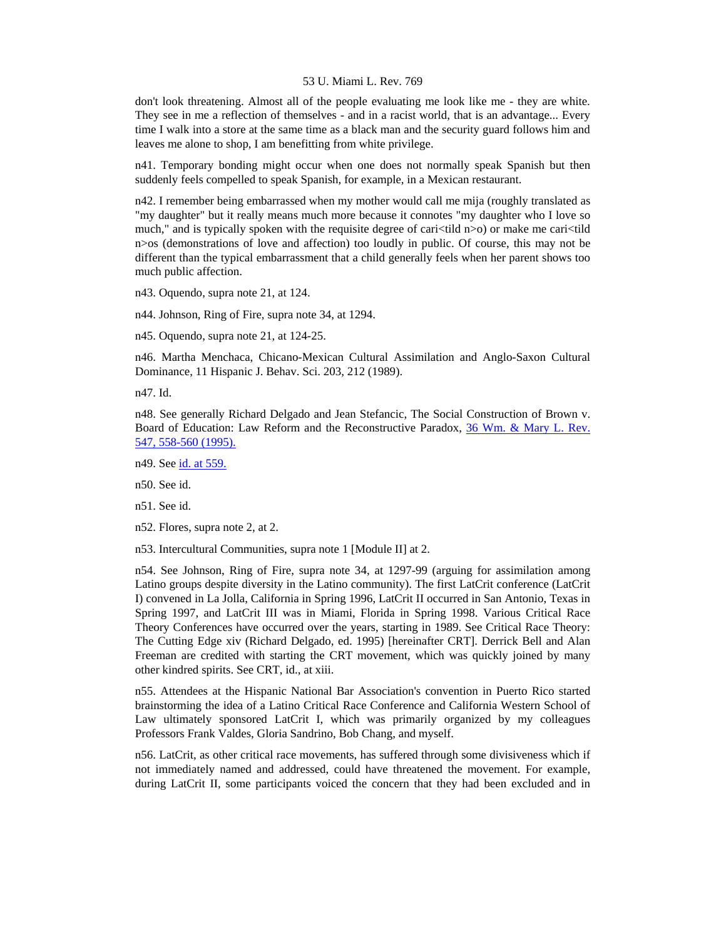don't look threatening. Almost all of the people evaluating me look like me - they are white. They see in me a reflection of themselves - and in a racist world, that is an advantage... Every time I walk into a store at the same time as a black man and the security guard follows him and leaves me alone to shop, I am benefitting from white privilege.

n41. Temporary bonding might occur when one does not normally speak Spanish but then suddenly feels compelled to speak Spanish, for example, in a Mexican restaurant.

n42. I remember being embarrassed when my mother would call me mija (roughly translated as "my daughter" but it really means much more because it connotes "my daughter who I love so much," and is typically spoken with the requisite degree of cari<tild n>o) or make me cari<tild n>os (demonstrations of love and affection) too loudly in public. Of course, this may not be different than the typical embarrassment that a child generally feels when her parent shows too much public affection.

n43. Oquendo, supra note 21, at 124.

n44. Johnson, Ring of Fire, supra note 34, at 1294.

n45. Oquendo, supra note 21, at 124-25.

n46. Martha Menchaca, Chicano-Mexican Cultural Assimilation and Anglo-Saxon Cultural Dominance, 11 Hispanic J. Behav. Sci. 203, 212 (1989).

n47. Id.

n48. See generally Richard Delgado and Jean Stefancic, The Social Construction of Brown v. Board of Education: Law Reform and the Reconstructive Paradox, [36 Wm. & Mary L. Rev.](http://www.lexis.com/research/xlink?searchtype=get&search=36%20Wm%20and%20Mary%20L.%20Rev.%20547,at%20558)  [547, 558-560 \(1995\).](http://www.lexis.com/research/xlink?searchtype=get&search=36%20Wm%20and%20Mary%20L.%20Rev.%20547,at%20558)

- n49. See [id. at 559.](http://www.lexis.com/research/xlink?searchtype=get&search=36%20Wm%20and%20Mary%20L.%20Rev.%20547,at%20559)
- n50. See id.
- n51. See id.
- n52. Flores, supra note 2, at 2.

n53. Intercultural Communities, supra note 1 [Module II] at 2.

n54. See Johnson, Ring of Fire, supra note 34, at 1297-99 (arguing for assimilation among Latino groups despite diversity in the Latino community). The first LatCrit conference (LatCrit I) convened in La Jolla, California in Spring 1996, LatCrit II occurred in San Antonio, Texas in Spring 1997, and LatCrit III was in Miami, Florida in Spring 1998. Various Critical Race Theory Conferences have occurred over the years, starting in 1989. See Critical Race Theory: The Cutting Edge xiv (Richard Delgado, ed. 1995) [hereinafter CRT]. Derrick Bell and Alan Freeman are credited with starting the CRT movement, which was quickly joined by many other kindred spirits. See CRT, id., at xiii.

n55. Attendees at the Hispanic National Bar Association's convention in Puerto Rico started brainstorming the idea of a Latino Critical Race Conference and California Western School of Law ultimately sponsored LatCrit I, which was primarily organized by my colleagues Professors Frank Valdes, Gloria Sandrino, Bob Chang, and myself.

n56. LatCrit, as other critical race movements, has suffered through some divisiveness which if not immediately named and addressed, could have threatened the movement. For example, during LatCrit II, some participants voiced the concern that they had been excluded and in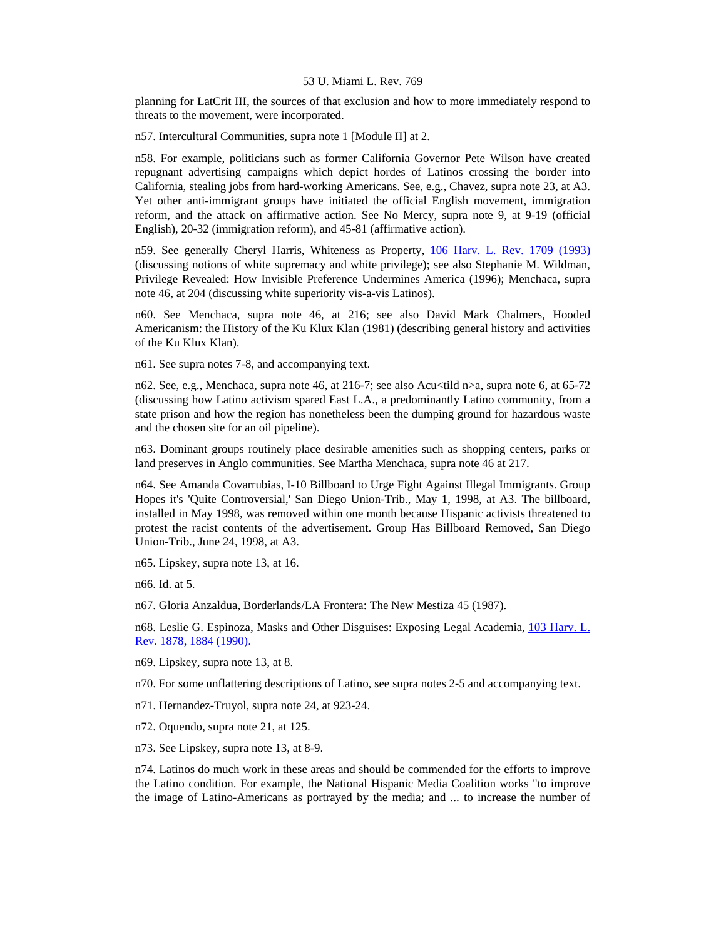planning for LatCrit III, the sources of that exclusion and how to more immediately respond to threats to the movement, were incorporated.

n57. Intercultural Communities, supra note 1 [Module II] at 2.

n58. For example, politicians such as former California Governor Pete Wilson have created repugnant advertising campaigns which depict hordes of Latinos crossing the border into California, stealing jobs from hard-working Americans. See, e.g., Chavez, supra note 23, at A3. Yet other anti-immigrant groups have initiated the official English movement, immigration reform, and the attack on affirmative action. See No Mercy, supra note 9, at 9-19 (official English), 20-32 (immigration reform), and 45-81 (affirmative action).

n59. See generally Cheryl Harris, Whiteness as Property, [106 Harv. L. Rev. 1709 \(1993\)](http://www.lexis.com/research/xlink?searchtype=get&search=106%20Harv.%20L.%20Rev.%201709) (discussing notions of white supremacy and white privilege); see also Stephanie M. Wildman, Privilege Revealed: How Invisible Preference Undermines America (1996); Menchaca, supra note 46, at 204 (discussing white superiority vis-a-vis Latinos).

n60. See Menchaca, supra note 46, at 216; see also David Mark Chalmers, Hooded Americanism: the History of the Ku Klux Klan (1981) (describing general history and activities of the Ku Klux Klan).

n61. See supra notes 7-8, and accompanying text.

n62. See, e.g., Menchaca, supra note 46, at 216-7; see also Acu<tild  $n>a$ , supra note 6, at 65-72 (discussing how Latino activism spared East L.A., a predominantly Latino community, from a state prison and how the region has nonetheless been the dumping ground for hazardous waste and the chosen site for an oil pipeline).

n63. Dominant groups routinely place desirable amenities such as shopping centers, parks or land preserves in Anglo communities. See Martha Menchaca, supra note 46 at 217.

n64. See Amanda Covarrubias, I-10 Billboard to Urge Fight Against Illegal Immigrants. Group Hopes it's 'Quite Controversial,' San Diego Union-Trib., May 1, 1998, at A3. The billboard, installed in May 1998, was removed within one month because Hispanic activists threatened to protest the racist contents of the advertisement. Group Has Billboard Removed, San Diego Union-Trib., June 24, 1998, at A3.

n65. Lipskey, supra note 13, at 16.

n66. Id. at 5.

n67. Gloria Anzaldua, Borderlands/LA Frontera: The New Mestiza 45 (1987).

n68. Leslie G. Espinoza, Masks and Other Disguises: Exposing Legal Academia, [103 Harv. L.](http://www.lexis.com/research/xlink?searchtype=get&search=103%20Harv.%20L.%20Rev.%201878,at%201884)  [Rev. 1878, 1884 \(1990\).](http://www.lexis.com/research/xlink?searchtype=get&search=103%20Harv.%20L.%20Rev.%201878,at%201884)

n69. Lipskey, supra note 13, at 8.

n70. For some unflattering descriptions of Latino, see supra notes 2-5 and accompanying text.

n71. Hernandez-Truyol, supra note 24, at 923-24.

n72. Oquendo, supra note 21, at 125.

n73. See Lipskey, supra note 13, at 8-9.

n74. Latinos do much work in these areas and should be commended for the efforts to improve the Latino condition. For example, the National Hispanic Media Coalition works "to improve the image of Latino-Americans as portrayed by the media; and ... to increase the number of